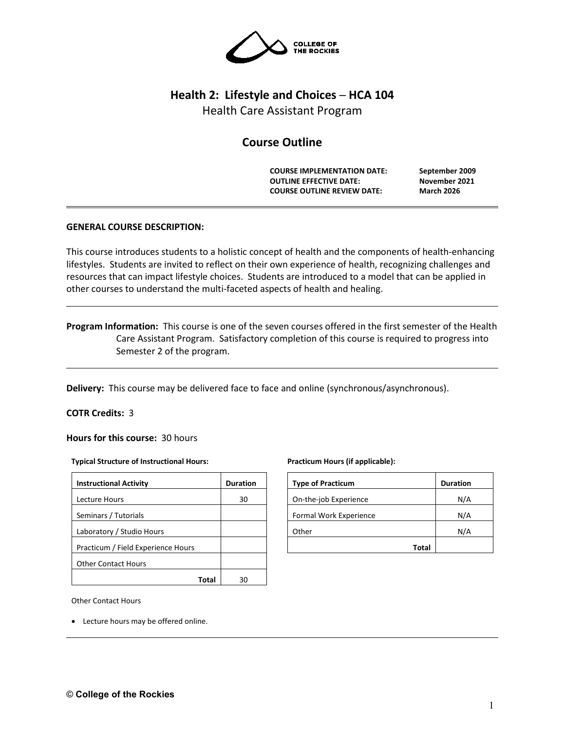

# **Health 2: Lifestyle and Choices ─ HCA 104**

Health Care Assistant Program

# **Course Outline**

**COURSE IMPLEMENTATION DATE: September 2009 OUTLINE EFFECTIVE DATE: November 2021 COURSE OUTLINE REVIEW DATE: March 2026**

# **GENERAL COURSE DESCRIPTION:**

This course introduces students to a holistic concept of health and the components of health-enhancing lifestyles. Students are invited to reflect on their own experience of health, recognizing challenges and resources that can impact lifestyle choices. Students are introduced to a model that can be applied in other courses to understand the multi-faceted aspects of health and healing.

**Program Information:** This course is one of the seven courses offered in the first semester of the Health Care Assistant Program. Satisfactory completion of this course is required to progress into Semester 2 of the program.

**Delivery:** This course may be delivered face to face and online (synchronous/asynchronous).

### **COTR Credits:** 3

**Hours for this course:** 30 hours

#### **Typical Structure of Instructional Hours:**

| <b>Instructional Activity</b>      | <b>Duration</b> |  |
|------------------------------------|-----------------|--|
| Lecture Hours                      | 30              |  |
| Seminars / Tutorials               |                 |  |
| Laboratory / Studio Hours          |                 |  |
| Practicum / Field Experience Hours |                 |  |
| <b>Other Contact Hours</b>         |                 |  |
|                                    |                 |  |

#### **Practicum Hours (if applicable):**

| <b>Type of Practicum</b> | <b>Duration</b> |
|--------------------------|-----------------|
| On-the-job Experience    | N/A             |
| Formal Work Experience   | N/A             |
| Other                    | N/A             |
| Total                    |                 |

Other Contact Hours

• Lecture hours may be offered online.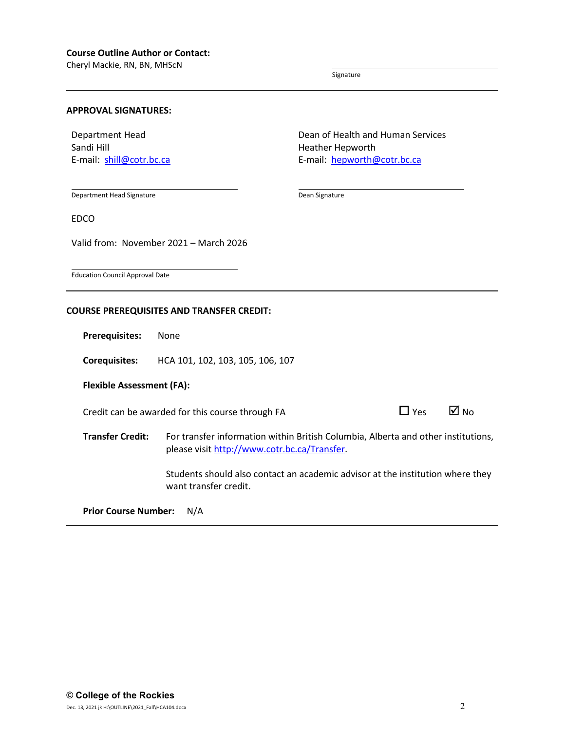Cheryl Mackie, RN, BN, MHScN

Signature

Heather Hepworth

Dean Signature

Dean of Health and Human Services

E-mail: [hepworth@cotr.bc.ca](mailto:hepworth@cotr.bc.ca)

#### **APPROVAL SIGNATURES:**

Department Head Sandi Hill E-mail: [shill@cotr.bc.ca](mailto:shill@cotr.bc.ca)

Department Head Signature

EDCO

Valid from: November 2021 – March 2026

Education Council Approval Date

#### **COURSE PREREQUISITES AND TRANSFER CREDIT:**

**Prerequisites:** None

**Corequisites:** HCA 101, 102, 103, 105, 106, 107

**Flexible Assessment (FA):**

Credit can be awarded for this course through FA  $\Box$  Yes  $\Box$  No

**Transfer Credit:** For transfer information within British Columbia, Alberta and other institutions, please visit [http://www.cotr.bc.ca/Transfer.](http://www.cotr.bc.ca/Transfer)

> Students should also contact an academic advisor at the institution where they want transfer credit.

**Prior Course Number:** N/A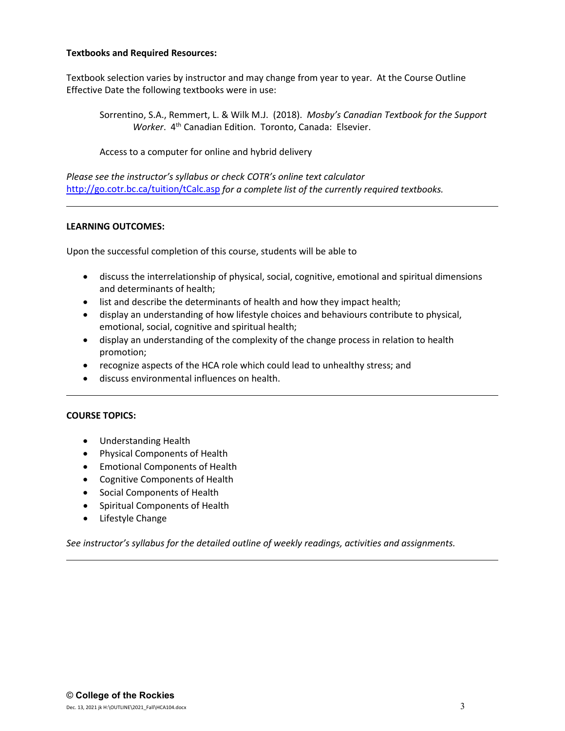# **Textbooks and Required Resources:**

Textbook selection varies by instructor and may change from year to year. At the Course Outline Effective Date the following textbooks were in use:

Sorrentino, S.A., Remmert, L. & Wilk M.J. (2018). *Mosby's Canadian Textbook for the Support Worker*. 4th Canadian Edition. Toronto, Canada: Elsevier.

Access to a computer for online and hybrid delivery

*Please see the instructor's syllabus or check COTR's online text calculator*  <http://go.cotr.bc.ca/tuition/tCalc.asp> *for a complete list of the currently required textbooks.*

# **LEARNING OUTCOMES:**

Upon the successful completion of this course, students will be able to

- discuss the interrelationship of physical, social, cognitive, emotional and spiritual dimensions and determinants of health;
- list and describe the determinants of health and how they impact health;
- display an understanding of how lifestyle choices and behaviours contribute to physical, emotional, social, cognitive and spiritual health;
- display an understanding of the complexity of the change process in relation to health promotion;
- recognize aspects of the HCA role which could lead to unhealthy stress; and
- discuss environmental influences on health.

#### **COURSE TOPICS:**

- Understanding Health
- Physical Components of Health
- Emotional Components of Health
- Cognitive Components of Health
- Social Components of Health
- Spiritual Components of Health
- Lifestyle Change

*See instructor's syllabus for the detailed outline of weekly readings, activities and assignments.*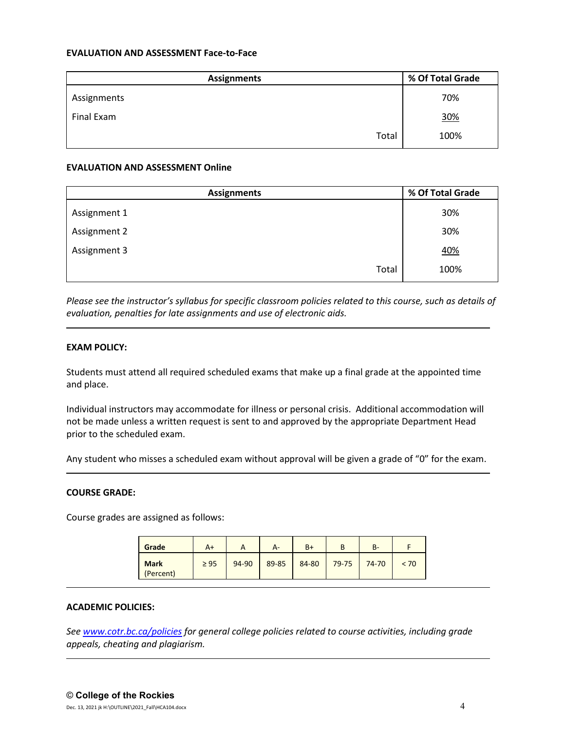# **EVALUATION AND ASSESSMENT Face-to-Face**

| <b>Assignments</b> | % Of Total Grade |  |  |
|--------------------|------------------|--|--|
| Assignments        | 70%              |  |  |
| Final Exam         | 30%              |  |  |
| Total              | 100%             |  |  |

#### **EVALUATION AND ASSESSMENT Online**

| <b>Assignments</b> | % Of Total Grade |  |  |
|--------------------|------------------|--|--|
| Assignment 1       | 30%              |  |  |
| Assignment 2       | 30%              |  |  |
| Assignment 3       | <u>40%</u>       |  |  |
| Total              | 100%             |  |  |

*Please see the instructor's syllabus for specific classroom policies related to this course, such as details of evaluation, penalties for late assignments and use of electronic aids.*

# **EXAM POLICY:**

Students must attend all required scheduled exams that make up a final grade at the appointed time and place.

Individual instructors may accommodate for illness or personal crisis. Additional accommodation will not be made unless a written request is sent to and approved by the appropriate Department Head prior to the scheduled exam.

Any student who misses a scheduled exam without approval will be given a grade of "0" for the exam.

### **COURSE GRADE:**

Course grades are assigned as follows:

| Grade                    | A+        |       | А-    | $B+$  |       | В-    |      |
|--------------------------|-----------|-------|-------|-------|-------|-------|------|
| <b>Mark</b><br>(Percent) | $\geq$ 95 | 94-90 | 89-85 | 84-80 | 79-75 | 74-70 | < 70 |

#### **ACADEMIC POLICIES:**

*See [www.cotr.bc.ca/policies](http://www.cotr.bc.ca/policies) for general college policies related to course activities, including grade appeals, cheating and plagiarism.*